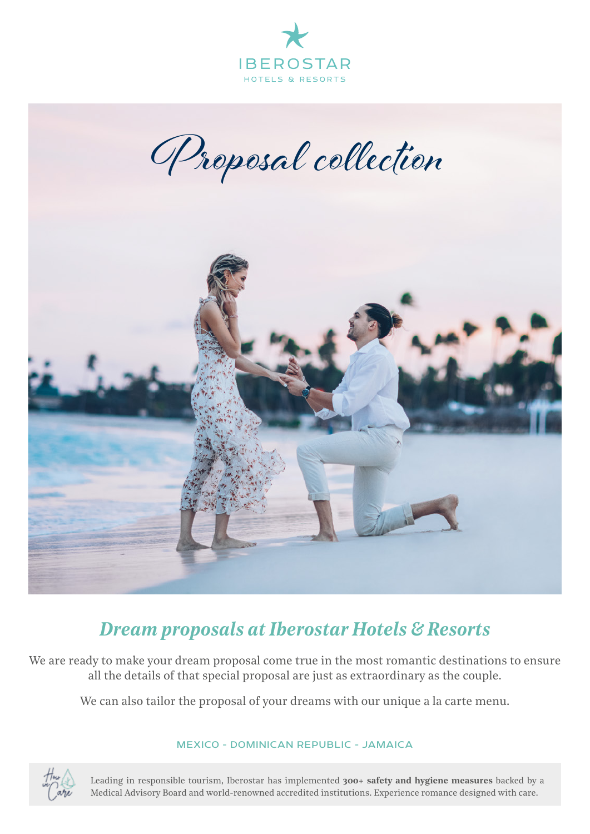

Proposal collection



# *Dream proposals at Iberostar Hotels & Resorts*

We are ready to make your dream proposal come true in the most romantic destinations to ensure all the details of that special proposal are just as extraordinary as the couple .

We can also tailor the proposal of your dreams with our unique a la carte menu.

#### MEXICO - DOMINICAN REPUBLIC - JAMAICA



Leading in responsible tourism, Iberostar has implemented **300+ safety and hygiene measures** backed by a Medical Advisory Board and world-renowned accredited institutions. Experience romance designed with care.